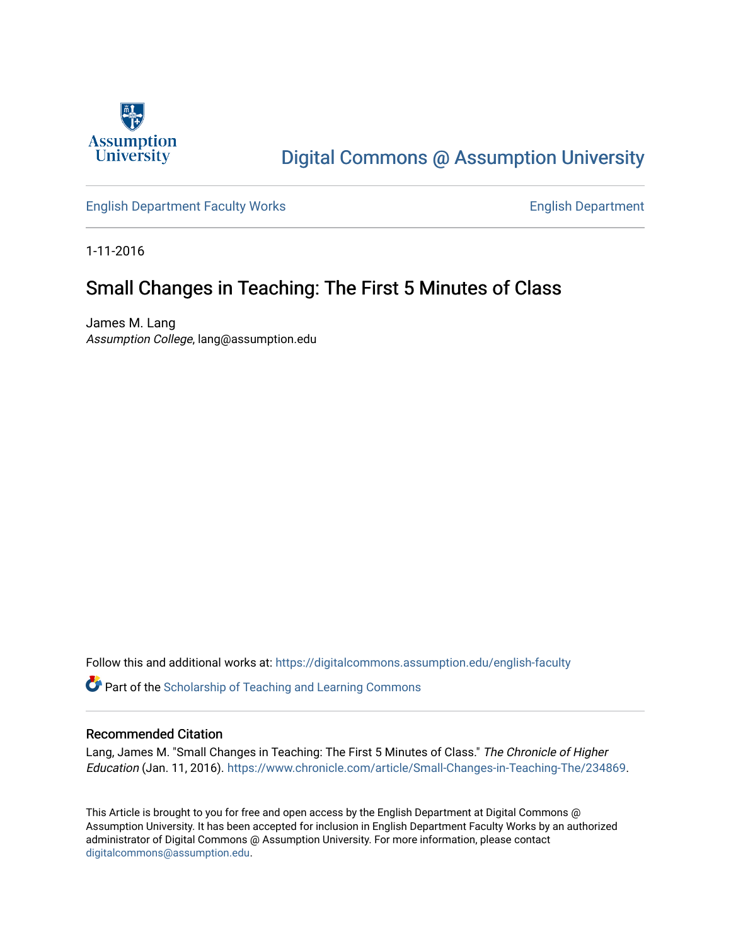

# [Digital Commons @ Assumption University](https://digitalcommons.assumption.edu/)

[English Department Faculty Works](https://digitalcommons.assumption.edu/english-faculty) **English Department** 

1-11-2016

## Small Changes in Teaching: The First 5 Minutes of Class

James M. Lang Assumption College, lang@assumption.edu

Follow this and additional works at: [https://digitalcommons.assumption.edu/english-faculty](https://digitalcommons.assumption.edu/english-faculty?utm_source=digitalcommons.assumption.edu%2Fenglish-faculty%2F24&utm_medium=PDF&utm_campaign=PDFCoverPages) 

**P** Part of the Scholarship of Teaching and Learning Commons

#### Recommended Citation

Lang, James M. "Small Changes in Teaching: The First 5 Minutes of Class." The Chronicle of Higher Education (Jan. 11, 2016). [https://www.chronicle.com/article/Small-Changes-in-Teaching-The/234869.](https://www.chronicle.com/article/Small-Changes-in-Teaching-The/234869)

This Article is brought to you for free and open access by the English Department at Digital Commons @ Assumption University. It has been accepted for inclusion in English Department Faculty Works by an authorized administrator of Digital Commons @ Assumption University. For more information, please contact [digitalcommons@assumption.edu](mailto:digitalcommons@assumption.edu).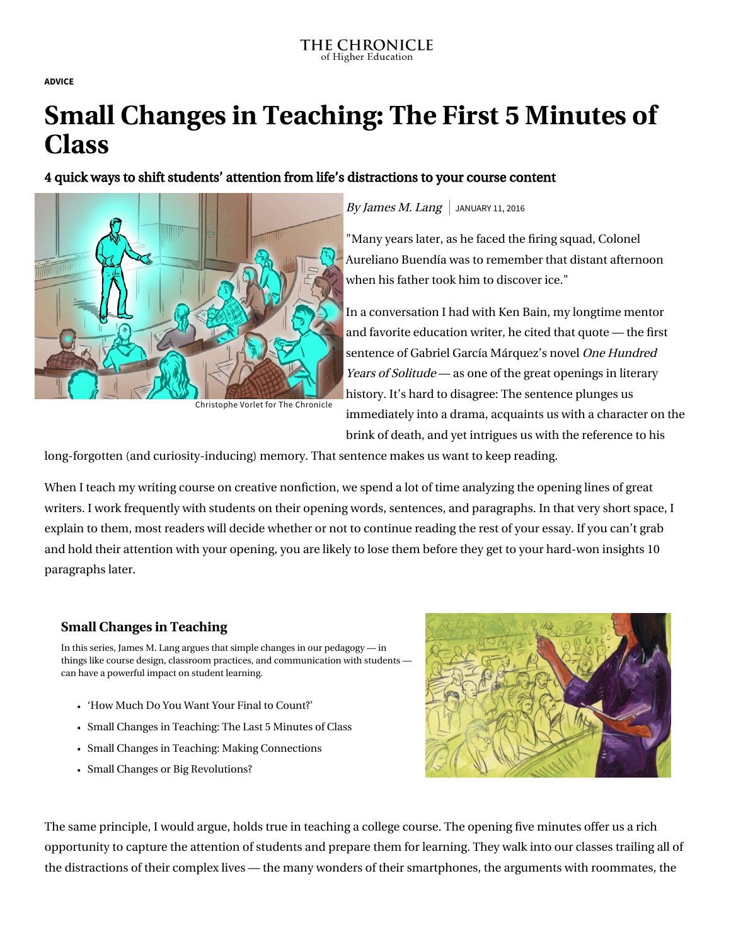**[ADVICE](https://www.chronicle.com/section/Advice/66)**

# **Small Changes in Teaching: The First 5 Minutes of Class**

## 4 quick ways to shift students' attention from life's distractions to your course content



Christophe Vorlet for The Chronicle

### By James M. Lang  $\vert$  JANUARY 11, 2016

"Many years later, as he faced the firing squad, Colonel Aureliano Buendía was to remember that distant afternoon when his father took him to discover ice."

In a conversation I had with [Ken Bain,](http://www.bestteachersinstitute.org/kenbain.html) my longtime mentor and favorite education writer, he cited that quote — the first sentence of Gabriel García Márquez's novel One Hundred Years of Solitude — as one of the great openings in literary history. It's hard to disagree: The sentence plunges us immediately into a drama, acquaints us with a character on the brink of death, and yet intrigues us with the reference to his

long-forgotten (and curiosity-inducing) memory. That sentence makes us want to keep reading.

When I teach my writing course on creative nonfiction, we spend a lot of time analyzing the opening lines of great writers. I work frequently with students on their opening words, sentences, and paragraphs. In that very short space, I explain to them, most readers will decide whether or not to continue reading the rest of your essay. If you can't grab and hold their attention with your opening, you are likely to lose them before they get to your hard-won insights 10 paragraphs later.

### **[Small Changes in Teaching](https://www.chronicle.com/specialreport/Small-Changes-in-Teaching/44?cid=RCPACKAGE)**

In this series, James M. Lang argues that simple changes in our pedagogy — in things like course design, classroom practices, and communication with students can have a powerful impact on student learning.

- ['How Much Do You Want Your Final to Count?'](https://www.chronicle.com/article/How-Much-Do-You-Want-Your/242802?cid=RCPACKAGE)
- [Small Changes in Teaching: The Last 5 Minutes of Class](https://www.chronicle.com/article/Small-Changes-in-Teaching-The/235583?cid=RCPACKAGE)
- [Small Changes in Teaching: Making Connections](https://www.chronicle.com/article/Small-Changes-in-Teaching-/235230?cid=RCPACKAGE)
- [Small Changes or Big Revolutions?](https://www.chronicle.com/article/Small-Changes-or-Big/236839?cid=RCPACKAGE)



The same principle, I would argue, holds true in teaching a college course. The opening five minutes offer us a rich opportunity to capture the attention of students and prepare them for learning. They walk into our classes trailing all of the distractions of their complex lives — the many wonders of their smartphones, the arguments with roommates, the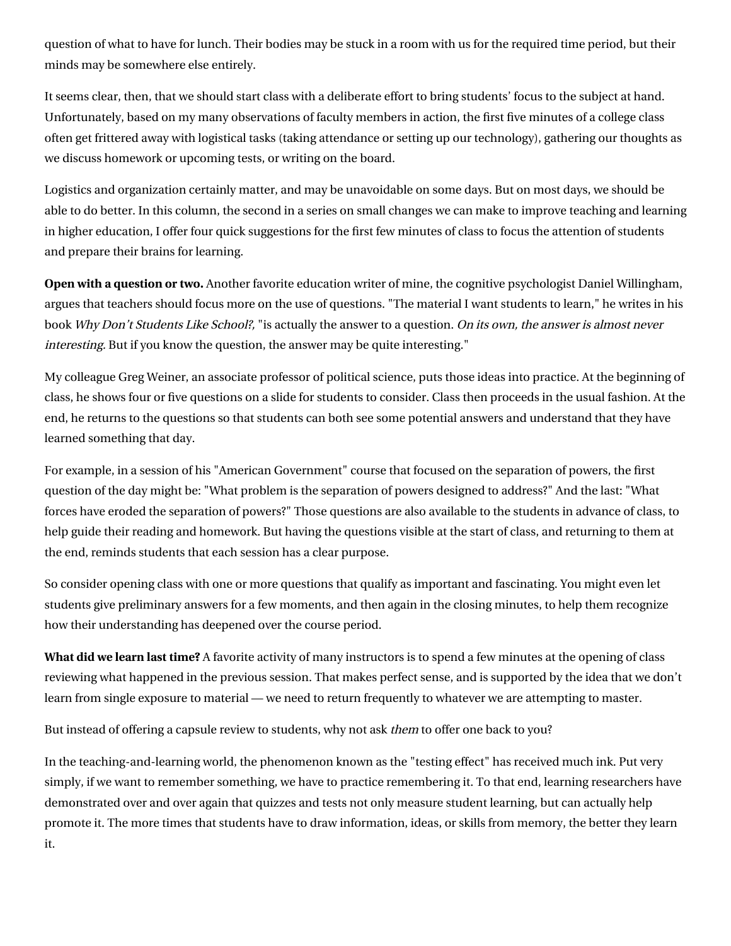question of what to have for lunch. Their bodies may be stuck in a room with us for the required time period, but their minds may be somewhere else entirely.

It seems clear, then, that we should start class with a deliberate effort to bring students' focus to the subject at hand. Unfortunately, based on my many observations of faculty members in action, the first five minutes of a college class often get frittered away with logistical tasks (taking attendance or setting up our technology), gathering our thoughts as we discuss homework or upcoming tests, or writing on the board.

Logistics and organization certainly matter, and may be unavoidable on some days. But on most days, we should be able to do better. In this column, the [second in a series](http://chronicle.com/article/Small-Changes-in-Teaching-The/234178) on small changes we can make to improve teaching and learning in higher education, I offer four quick suggestions for the first few minutes of class to focus the attention of students and prepare their brains for learning.

**Open with a question or two.** Another favorite education writer of mine, the cognitive psychologist [Daniel Willingham,](http://www.danielwillingham.com/) argues that teachers should focus more on the use of questions. "The material I want students to learn," he writes in his book [Why Don't Students Like School?,](http://www.wiley.com/WileyCDA/WileyTitle/productCd-047059196X.html) "is actually the answer to a question. On its own, the answer is almost never interesting. But if you know the question, the answer may be quite interesting."

My colleague [Greg Weiner,](http://www.gregweinerphd.com/) an associate professor of political science, puts those ideas into practice. At the beginning of class, he shows four or five questions on a slide for students to consider. Class then proceeds in the usual fashion. At the end, he returns to the questions so that students can both see some potential answers and understand that they have learned something that day.

For example, in a session of his "American Government" course that focused on the separation of powers, the first question of the day might be: "What problem is the separation of powers designed to address?" And the last: "What forces have eroded the separation of powers?" Those questions are also available to the students in advance of class, to help guide their reading and homework. But having the questions visible at the start of class, and returning to them at the end, reminds students that each session has a clear purpose.

So consider opening class with one or more questions that qualify as important and fascinating. You might even let students give preliminary answers for a few moments, and then again in the closing minutes, to help them recognize how their understanding has deepened over the course period.

**What did we learn last time?** A favorite activity of many instructors is to spend a few minutes at the opening of class reviewing what happened in the previous session. That makes perfect sense, and is supported by the idea that we don't learn from single exposure to material — we need to return frequently to whatever we are attempting to master.

But instead of offering a capsule review to students, why not ask them to offer one back to you?

In the teaching-and-learning world, the phenomenon known as the ["testing effect"](http://chronicle.com/article/Cheating-Lessons-Part-3/141141) has received much ink. Put very simply, if we want to remember something, we have to practice remembering it. To that end, learning researchers have demonstrated over and over again that quizzes and tests not only measure student learning, but can actually help promote it. The more times that students have to draw information, ideas, or skills from memory, the better they learn it.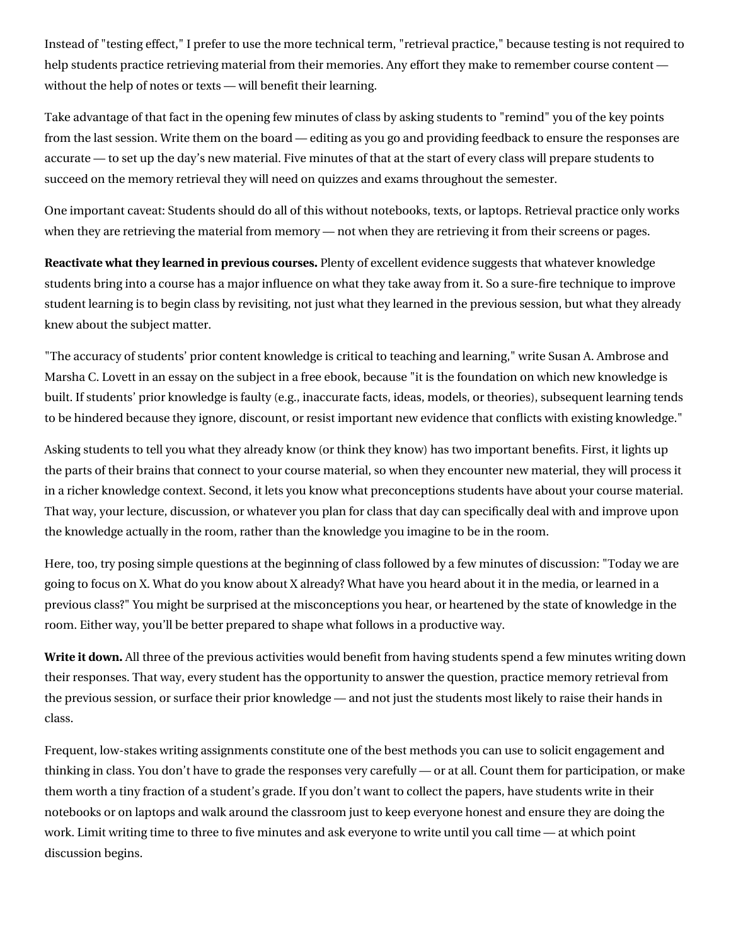Instead of "testing effect," I prefer to use the more technical term, "retrieval practice," because testing is not required to help students practice retrieving material from their memories. Any effort they make to remember course content without the help of notes or texts — will benefit their learning.

Take advantage of that fact in the opening few minutes of class by asking students to "remind" you of the key points from the last session. Write them on the board — editing as you go and providing feedback to ensure the responses are accurate — to set up the day's new material. Five minutes of that at the start of every class will prepare students to succeed on the memory retrieval they will need on quizzes and exams throughout the semester.

One important caveat: Students should do all of this without notebooks, texts, or laptops. Retrieval practice only works when they are retrieving the material from memory — not when they are retrieving it from their screens or pages.

**Reactivate what they learned in previous courses.** Plenty of excellent evidence suggests that whatever knowledge students bring into a course has a major influence on what they take away from it. So a sure-fire technique to improve student learning is to begin class by revisiting, not just what they learned in the previous session, but what they already knew about the subject matter.

"The accuracy of students' prior content knowledge is critical to teaching and learning," write Susan A. Ambrose and Marsha C. Lovett in an essay on the subject in [a free ebook,](http://teachpsych.org/Resources/Documents/ebooks/asle2014.pdf) because "it is the foundation on which new knowledge is built. If students' prior knowledge is faulty (e.g., inaccurate facts, ideas, models, or theories), subsequent learning tends to be hindered because they ignore, discount, or resist important new evidence that conflicts with existing knowledge."

Asking students to tell you what they already know (or think they know) has two important benefits. First, it lights up the parts of their brains that connect to your course material, so when they encounter new material, they will process it in a richer knowledge context. Second, it lets you know what preconceptions students have about your course material. That way, your lecture, discussion, or whatever you plan for class that day can specifically deal with and improve upon the knowledge actually in the room, rather than the knowledge you imagine to be in the room.

Here, too, try posing simple questions at the beginning of class followed by a few minutes of discussion: "Today we are going to focus on X. What do you know about X already? What have you heard about it in the media, or learned in a previous class?" You might be surprised at the misconceptions you hear, or heartened by the state of knowledge in the room. Either way, you'll be better prepared to shape what follows in a productive way.

**Write it down.** All three of the previous activities would benefit from having students spend a few minutes writing down their responses. That way, every student has the opportunity to answer the question, practice memory retrieval from the previous session, or surface their prior knowledge — and not just the students most likely to raise their hands in class.

Frequent, low-stakes writing assignments constitute one of the best methods you can use to solicit engagement and thinking in class. You don't have to grade the responses very carefully — or at all. Count them for participation, or make them worth a tiny fraction of a student's grade. If you don't want to collect the papers, have students write in their notebooks or on laptops and walk around the classroom just to keep everyone honest and ensure they are doing the work. Limit writing time to three to five minutes and ask everyone to write until you call time — at which point discussion begins.